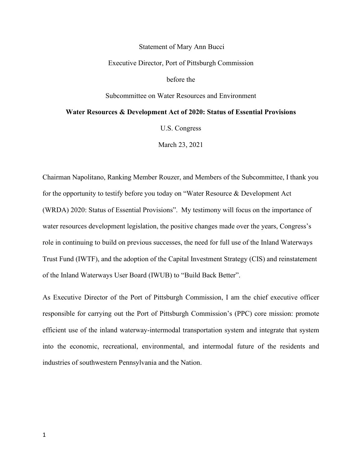#### Statement of Mary Ann Bucci

#### Executive Director, Port of Pittsburgh Commission

before the

Subcommittee on Water Resources and Environment

#### **Water Resources & Development Act of 2020: Status of Essential Provisions**

U.S. Congress

March 23, 2021

Chairman Napolitano, Ranking Member Rouzer, and Members of the Subcommittee, I thank you for the opportunity to testify before you today on "Water Resource & Development Act (WRDA) 2020: Status of Essential Provisions". My testimony will focus on the importance of water resources development legislation, the positive changes made over the years, Congress's role in continuing to build on previous successes, the need for full use of the Inland Waterways Trust Fund (IWTF), and the adoption of the Capital Investment Strategy (CIS) and reinstatement of the Inland Waterways User Board (IWUB) to "Build Back Better".

As Executive Director of the Port of Pittsburgh Commission, I am the chief executive officer responsible for carrying out the Port of Pittsburgh Commission's (PPC) core mission: promote efficient use of the inland waterway-intermodal transportation system and integrate that system into the economic, recreational, environmental, and intermodal future of the residents and industries of southwestern Pennsylvania and the Nation.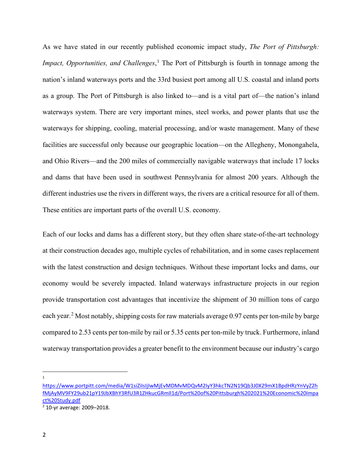As we have stated in our recently published economic impact study, *The Port of Pittsburgh: Impact, Opportunities, and Challenges*, [1](#page-1-0) The Port of Pittsburgh is fourth in tonnage among the nation's inland waterways ports and the 33rd busiest port among all U.S. coastal and inland ports as a group. The Port of Pittsburgh is also linked to—and is a vital part of—the nation's inland waterways system. There are very important mines, steel works, and power plants that use the waterways for shipping, cooling, material processing, and/or waste management. Many of these facilities are successful only because our geographic location—on the Allegheny, Monongahela, and Ohio Rivers—and the 200 miles of commercially navigable waterways that include 17 locks and dams that have been used in southwest Pennsylvania for almost 200 years. Although the different industries use the rivers in different ways, the rivers are a critical resource for all of them. These entities are important parts of the overall U.S. economy.

Each of our locks and dams has a different story, but they often share state-of-the-art technology at their construction decades ago, multiple cycles of rehabilitation, and in some cases replacement with the latest construction and design techniques. Without these important locks and dams, our economy would be severely impacted. Inland waterways infrastructure projects in our region provide transportation cost advantages that incentivize the shipment of 30 million tons of cargo each year.<sup>[2](#page-1-1)</sup> Most notably, shipping costs for raw materials average 0.97 cents per ton-mile by barge compared to 2.53 cents per ton-mile by rail or 5.35 cents per ton-mile by truck. Furthermore, inland waterway transportation provides a greater benefit to the environment because our industry's cargo

1

<span id="page-1-0"></span>[https://www.portpitt.com/media/W1siZiIsIjIwMjEvMDMvMDQvM2IyY3hkcTN2N19Qb3J0X29mX1BpdHRzYnVyZ2h](https://www.portpitt.com/media/W1siZiIsIjIwMjEvMDMvMDQvM2IyY3hkcTN2N19Qb3J0X29mX1BpdHRzYnVyZ2hfMjAyMV9FY29ub21pY19JbXBhY3RfU3R1ZHkucGRmIl1d/Port%20of%20Pittsburgh%202021%20Economic%20Impact%20Study.pdf) [fMjAyMV9FY29ub21pY19JbXBhY3RfU3R1ZHkucGRmIl1d/Port%20of%20Pittsburgh%202021%20Economic%20Impa](https://www.portpitt.com/media/W1siZiIsIjIwMjEvMDMvMDQvM2IyY3hkcTN2N19Qb3J0X29mX1BpdHRzYnVyZ2hfMjAyMV9FY29ub21pY19JbXBhY3RfU3R1ZHkucGRmIl1d/Port%20of%20Pittsburgh%202021%20Economic%20Impact%20Study.pdf) [ct%20Study.pdf](https://www.portpitt.com/media/W1siZiIsIjIwMjEvMDMvMDQvM2IyY3hkcTN2N19Qb3J0X29mX1BpdHRzYnVyZ2hfMjAyMV9FY29ub21pY19JbXBhY3RfU3R1ZHkucGRmIl1d/Port%20of%20Pittsburgh%202021%20Economic%20Impact%20Study.pdf)

<span id="page-1-1"></span><sup>2</sup> 10-yr average: 2009–2018.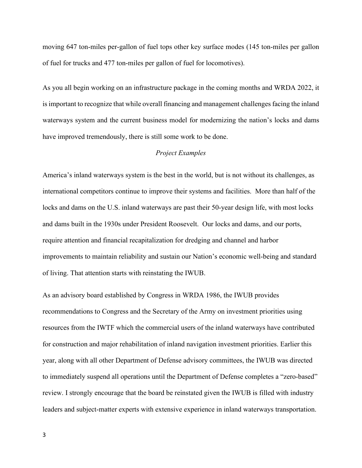moving 647 ton-miles per-gallon of fuel tops other key surface modes (145 ton-miles per gallon of fuel for trucks and 477 ton-miles per gallon of fuel for locomotives).

As you all begin working on an infrastructure package in the coming months and WRDA 2022, it is important to recognize that while overall financing and management challenges facing the inland waterways system and the current business model for modernizing the nation's locks and dams have improved tremendously, there is still some work to be done.

# *Project Examples*

America's inland waterways system is the best in the world, but is not without its challenges, as international competitors continue to improve their systems and facilities. More than half of the locks and dams on the U.S. inland waterways are past their 50-year design life, with most locks and dams built in the 1930s under President Roosevelt. Our locks and dams, and our ports, require attention and financial recapitalization for dredging and channel and harbor improvements to maintain reliability and sustain our Nation's economic well-being and standard of living. That attention starts with reinstating the IWUB.

As an advisory board established by Congress in WRDA 1986, the IWUB provides recommendations to Congress and the Secretary of the Army on investment priorities using resources from the IWTF which the commercial users of the inland waterways have contributed for construction and major rehabilitation of inland navigation investment priorities. Earlier this year, along with all other Department of Defense advisory committees, the IWUB was directed to immediately suspend all operations until the Department of Defense completes a "zero-based" review. I strongly encourage that the board be reinstated given the IWUB is filled with industry leaders and subject-matter experts with extensive experience in inland waterways transportation.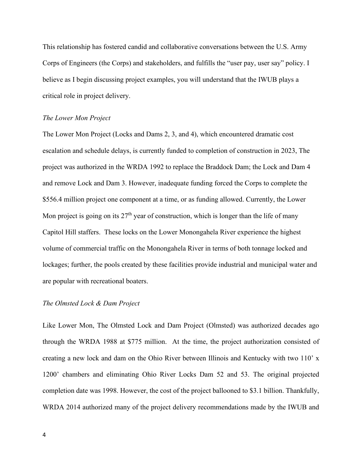This relationship has fostered candid and collaborative conversations between the U.S. Army Corps of Engineers (the Corps) and stakeholders, and fulfills the "user pay, user say" policy. I believe as I begin discussing project examples, you will understand that the IWUB plays a critical role in project delivery.

### *The Lower Mon Project*

The Lower Mon Project (Locks and Dams 2, 3, and 4), which encountered dramatic cost escalation and schedule delays, is currently funded to completion of construction in 2023, The project was authorized in the WRDA 1992 to replace the Braddock Dam; the Lock and Dam 4 and remove Lock and Dam 3. However, inadequate funding forced the Corps to complete the \$556.4 million project one component at a time, or as funding allowed. Currently, the Lower Mon project is going on its  $27<sup>th</sup>$  year of construction, which is longer than the life of many Capitol Hill staffers. These locks on the Lower Monongahela River experience the highest volume of commercial traffic on the Monongahela River in terms of both tonnage locked and lockages; further, the pools created by these facilities provide industrial and municipal water and are popular with recreational boaters.

## *The Olmsted Lock & Dam Project*

Like Lower Mon, The Olmsted Lock and Dam Project (Olmsted) was authorized decades ago through the WRDA 1988 at \$775 million. At the time, the project authorization consisted of creating a new lock and dam on the Ohio River between Illinois and Kentucky with two 110' x 1200' chambers and eliminating Ohio River Locks Dam 52 and 53. The original projected completion date was 1998. However, the cost of the project ballooned to \$3.1 billion. Thankfully, WRDA 2014 authorized many of the project delivery recommendations made by the IWUB and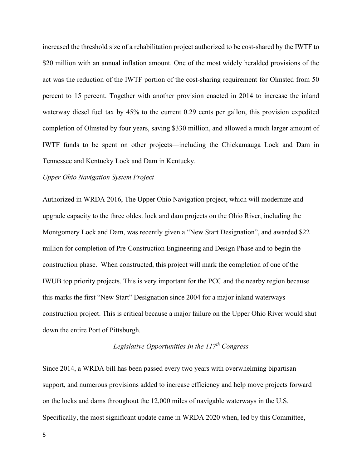increased the threshold size of a rehabilitation project authorized to be cost-shared by the IWTF to \$20 million with an annual inflation amount. One of the most widely heralded provisions of the act was the reduction of the IWTF portion of the cost-sharing requirement for Olmsted from 50 percent to 15 percent. Together with another provision enacted in 2014 to increase the inland waterway diesel fuel tax by 45% to the current 0.29 cents per gallon, this provision expedited completion of Olmsted by four years, saving \$330 million, and allowed a much larger amount of IWTF funds to be spent on other projects—including the Chickamauga Lock and Dam in Tennessee and Kentucky Lock and Dam in Kentucky.

## *Upper Ohio Navigation System Project*

Authorized in WRDA 2016, The Upper Ohio Navigation project, which will modernize and upgrade capacity to the three oldest lock and dam projects on the Ohio River, including the Montgomery Lock and Dam, was recently given a "New Start Designation", and awarded \$22 million for completion of Pre-Construction Engineering and Design Phase and to begin the construction phase. When constructed, this project will mark the completion of one of the IWUB top priority projects. This is very important for the PCC and the nearby region because this marks the first "New Start" Designation since 2004 for a major inland waterways construction project. This is critical because a major failure on the Upper Ohio River would shut down the entire Port of Pittsburgh.

# *Legislative Opportunities In the 117th Congress*

Since 2014, a WRDA bill has been passed every two years with overwhelming bipartisan support, and numerous provisions added to increase efficiency and help move projects forward on the locks and dams throughout the 12,000 miles of navigable waterways in the U.S. Specifically, the most significant update came in WRDA 2020 when, led by this Committee,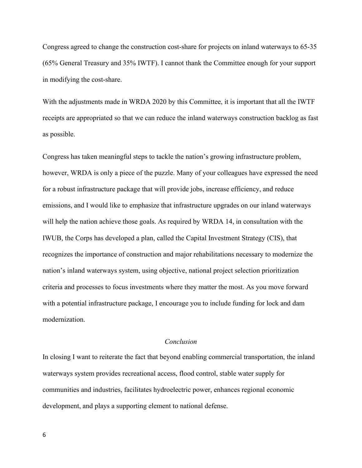Congress agreed to change the construction cost-share for projects on inland waterways to 65-35 (65% General Treasury and 35% IWTF). I cannot thank the Committee enough for your support in modifying the cost-share.

With the adjustments made in WRDA 2020 by this Committee, it is important that all the IWTF receipts are appropriated so that we can reduce the inland waterways construction backlog as fast as possible.

Congress has taken meaningful steps to tackle the nation's growing infrastructure problem, however, WRDA is only a piece of the puzzle. Many of your colleagues have expressed the need for a robust infrastructure package that will provide jobs, increase efficiency, and reduce emissions, and I would like to emphasize that infrastructure upgrades on our inland waterways will help the nation achieve those goals. As required by WRDA 14, in consultation with the IWUB, the Corps has developed a plan, called the Capital Investment Strategy (CIS), that recognizes the importance of construction and major rehabilitations necessary to modernize the nation's inland waterways system, using objective, national project selection prioritization criteria and processes to focus investments where they matter the most. As you move forward with a potential infrastructure package, I encourage you to include funding for lock and dam modernization.

# *Conclusion*

In closing I want to reiterate the fact that beyond enabling commercial transportation, the inland waterways system provides recreational access, flood control, stable water supply for communities and industries, facilitates hydroelectric power, enhances regional economic development, and plays a supporting element to national defense.

6